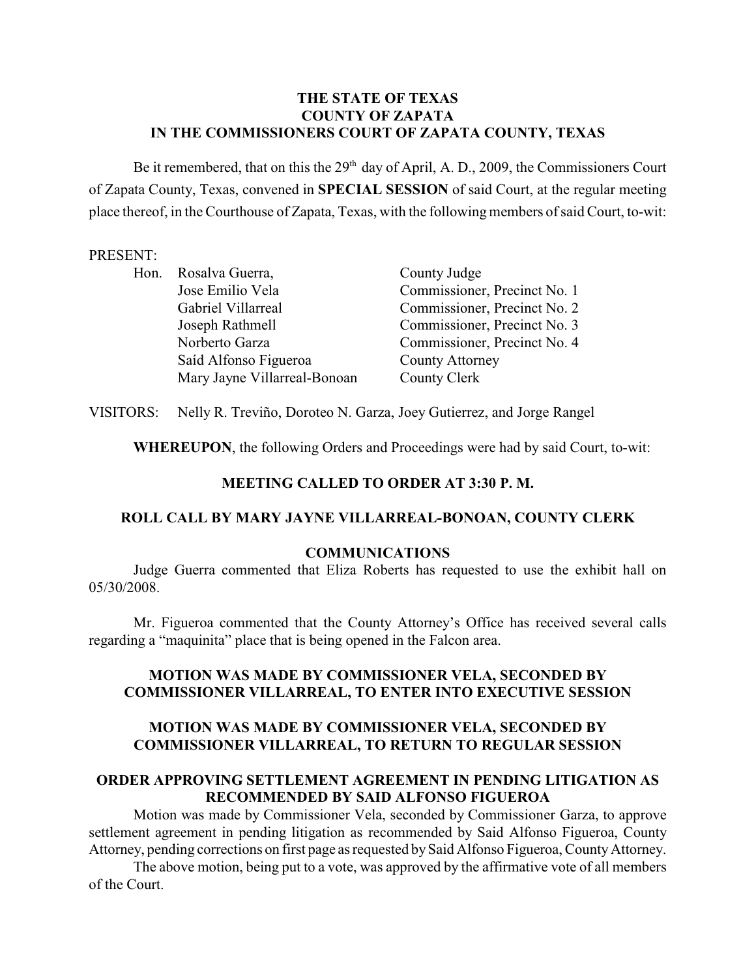# **THE STATE OF TEXAS COUNTY OF ZAPATA IN THE COMMISSIONERS COURT OF ZAPATA COUNTY, TEXAS**

Be it remembered, that on this the  $29<sup>th</sup>$  day of April, A. D., 2009, the Commissioners Court of Zapata County, Texas, convened in **SPECIAL SESSION** of said Court, at the regular meeting place thereof, in the Courthouse of Zapata, Texas, with the following members of said Court, to-wit:

#### PRESENT:

| Hon. | Rosalva Guerra,              | County Judge                 |
|------|------------------------------|------------------------------|
|      | Jose Emilio Vela             | Commissioner, Precinct No. 1 |
|      | Gabriel Villarreal           | Commissioner, Precinct No. 2 |
|      | Joseph Rathmell              | Commissioner, Precinct No. 3 |
|      | Norberto Garza               | Commissioner, Precinct No. 4 |
|      | Saíd Alfonso Figueroa        | County Attorney              |
|      | Mary Jayne Villarreal-Bonoan | County Clerk                 |

VISITORS: Nelly R. Treviño, Doroteo N. Garza, Joey Gutierrez, and Jorge Rangel

**WHEREUPON**, the following Orders and Proceedings were had by said Court, to-wit:

### **MEETING CALLED TO ORDER AT 3:30 P. M.**

## **ROLL CALL BY MARY JAYNE VILLARREAL-BONOAN, COUNTY CLERK**

#### **COMMUNICATIONS**

Judge Guerra commented that Eliza Roberts has requested to use the exhibit hall on 05/30/2008.

Mr. Figueroa commented that the County Attorney's Office has received several calls regarding a "maquinita" place that is being opened in the Falcon area.

# **MOTION WAS MADE BY COMMISSIONER VELA, SECONDED BY COMMISSIONER VILLARREAL, TO ENTER INTO EXECUTIVE SESSION**

# **MOTION WAS MADE BY COMMISSIONER VELA, SECONDED BY COMMISSIONER VILLARREAL, TO RETURN TO REGULAR SESSION**

## **ORDER APPROVING SETTLEMENT AGREEMENT IN PENDING LITIGATION AS RECOMMENDED BY SAID ALFONSO FIGUEROA**

Motion was made by Commissioner Vela, seconded by Commissioner Garza, to approve settlement agreement in pending litigation as recommended by Said Alfonso Figueroa, County Attorney, pending corrections on first page as requested by Said Alfonso Figueroa, County Attorney.

The above motion, being put to a vote, was approved by the affirmative vote of all members of the Court.